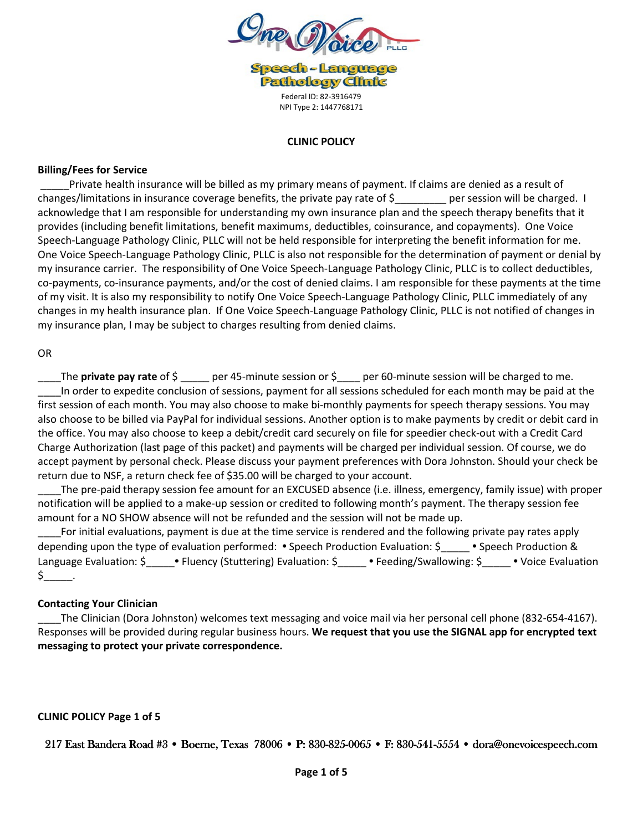

**Speech-Language Pathology Clinic** Federal ID: 82-3916479 NPI Type 2: 1447768171

#### **CLINIC POLICY**

#### **Billing/Fees for Service**

 \_\_\_\_\_Private health insurance will be billed as my primary means of payment. If claims are denied as a result of changes/limitations in insurance coverage benefits, the private pay rate of \$\_\_\_\_\_\_\_\_\_ per session will be charged. I acknowledge that I am responsible for understanding my own insurance plan and the speech therapy benefits that it provides (including benefit limitations, benefit maximums, deductibles, coinsurance, and copayments). One Voice Speech-Language Pathology Clinic, PLLC will not be held responsible for interpreting the benefit information for me. One Voice Speech-Language Pathology Clinic, PLLC is also not responsible for the determination of payment or denial by my insurance carrier. The responsibility of One Voice Speech-Language Pathology Clinic, PLLC is to collect deductibles, co-payments, co-insurance payments, and/or the cost of denied claims. I am responsible for these payments at the time of my visit. It is also my responsibility to notify One Voice Speech-Language Pathology Clinic, PLLC immediately of any changes in my health insurance plan. If One Voice Speech-Language Pathology Clinic, PLLC is not notified of changes in my insurance plan, I may be subject to charges resulting from denied claims.

#### OR

\_\_\_\_The **private pay rate** of \$ \_\_\_\_\_ per 45-minute session or \$\_\_\_\_ per 60-minute session will be charged to me. In order to expedite conclusion of sessions, payment for all sessions scheduled for each month may be paid at the first session of each month. You may also choose to make bi-monthly payments for speech therapy sessions. You may also choose to be billed via PayPal for individual sessions. Another option is to make payments by credit or debit card in the office. You may also choose to keep a debit/credit card securely on file for speedier check-out with a Credit Card Charge Authorization (last page of this packet) and payments will be charged per individual session. Of course, we do accept payment by personal check. Please discuss your payment preferences with Dora Johnston. Should your check be return due to NSF, a return check fee of \$35.00 will be charged to your account.

The pre-paid therapy session fee amount for an EXCUSED absence (i.e. illness, emergency, family issue) with proper notification will be applied to a make-up session or credited to following month's payment. The therapy session fee amount for a NO SHOW absence will not be refunded and the session will not be made up.

For initial evaluations, payment is due at the time service is rendered and the following private pay rates apply depending upon the type of evaluation performed: • Speech Production Evaluation: \$\_\_\_\_\_ • Speech Production & Language Evaluation: \$<sup>1</sup>/2010 • Fluency (Stuttering) Evaluation: \$<sup>2</sup> • Feeding/Swallowing: \$<sup>2</sup> • Voice Evaluation  $$$  .

## **Contacting Your Clinician**

\_\_\_\_The Clinician (Dora Johnston) welcomes text messaging and voice mail via her personal cell phone (832-654-4167). Responses will be provided during regular business hours. **We request that you use the SIGNAL app for encrypted text messaging to protect your private correspondence.** 

#### **CLINIC POLICY Page 1 of 5**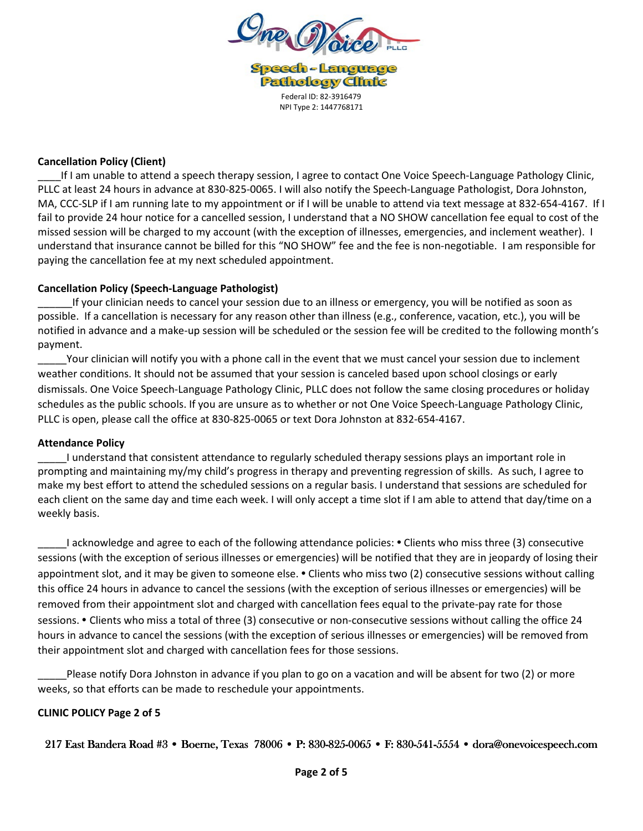

**Speech-Language Pathology Clinic** Federal ID: 82-3916479 NPI Type 2: 1447768171

## **Cancellation Policy (Client)**

\_\_\_\_If I am unable to attend a speech therapy session, I agree to contact One Voice Speech-Language Pathology Clinic, PLLC at least 24 hours in advance at 830-825-0065. I will also notify the Speech-Language Pathologist, Dora Johnston, MA, CCC-SLP if I am running late to my appointment or if I will be unable to attend via text message at 832-654-4167. If I fail to provide 24 hour notice for a cancelled session, I understand that a NO SHOW cancellation fee equal to cost of the missed session will be charged to my account (with the exception of illnesses, emergencies, and inclement weather). I understand that insurance cannot be billed for this "NO SHOW" fee and the fee is non-negotiable. I am responsible for paying the cancellation fee at my next scheduled appointment.

## **Cancellation Policy (Speech-Language Pathologist)**

If your clinician needs to cancel your session due to an illness or emergency, you will be notified as soon as possible. If a cancellation is necessary for any reason other than illness (e.g., conference, vacation, etc.), you will be notified in advance and a make-up session will be scheduled or the session fee will be credited to the following month's payment.

Your clinician will notify you with a phone call in the event that we must cancel your session due to inclement weather conditions. It should not be assumed that your session is canceled based upon school closings or early dismissals. One Voice Speech-Language Pathology Clinic, PLLC does not follow the same closing procedures or holiday schedules as the public schools. If you are unsure as to whether or not One Voice Speech-Language Pathology Clinic, PLLC is open, please call the office at 830-825-0065 or text Dora Johnston at 832-654-4167.

#### **Attendance Policy**

\_\_\_\_\_I understand that consistent attendance to regularly scheduled therapy sessions plays an important role in prompting and maintaining my/my child's progress in therapy and preventing regression of skills. As such, I agree to make my best effort to attend the scheduled sessions on a regular basis. I understand that sessions are scheduled for each client on the same day and time each week. I will only accept a time slot if I am able to attend that day/time on a weekly basis.

\_\_\_\_\_I acknowledge and agree to each of the following attendance policies: • Clients who miss three (3) consecutive sessions (with the exception of serious illnesses or emergencies) will be notified that they are in jeopardy of losing their appointment slot, and it may be given to someone else. • Clients who miss two (2) consecutive sessions without calling this office 24 hours in advance to cancel the sessions (with the exception of serious illnesses or emergencies) will be removed from their appointment slot and charged with cancellation fees equal to the private-pay rate for those sessions. • Clients who miss a total of three (3) consecutive or non-consecutive sessions without calling the office 24 hours in advance to cancel the sessions (with the exception of serious illnesses or emergencies) will be removed from their appointment slot and charged with cancellation fees for those sessions.

Please notify Dora Johnston in advance if you plan to go on a vacation and will be absent for two (2) or more weeks, so that efforts can be made to reschedule your appointments.

#### **CLINIC POLICY Page 2 of 5**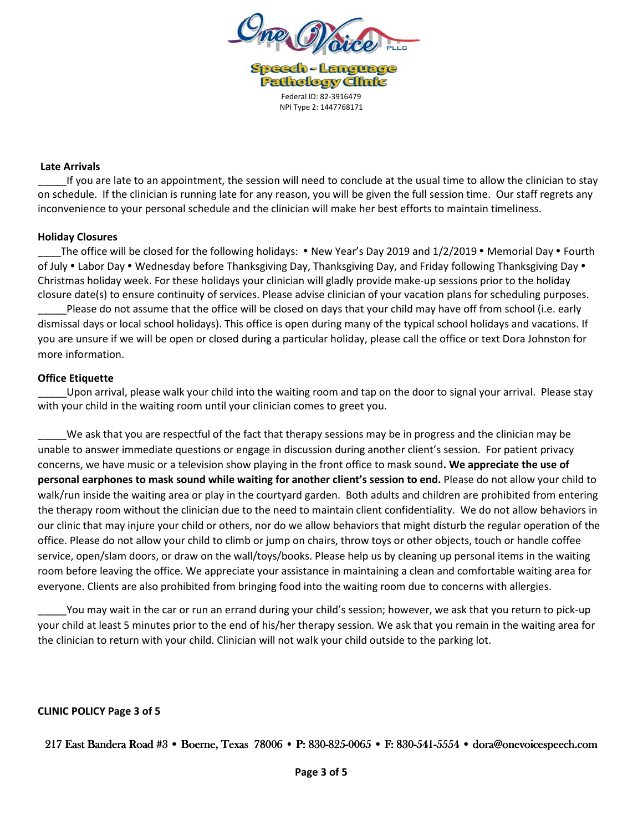

**Speech-Language Pathology Clinic** Federal ID: 82-3916479 NPI Type 2: 1447768171

#### **Late Arrivals**

If you are late to an appointment, the session will need to conclude at the usual time to allow the clinician to stay on schedule. If the clinician is running late for any reason, you will be given the full session time. Our staff regrets any inconvenience to your personal schedule and the clinician will make her best efforts to maintain timeliness.

#### **Holiday Closures**

The office will be closed for the following holidays: • New Year's Day 2019 and 1/2/2019 • Memorial Day • Fourth of July • Labor Day • Wednesday before Thanksgiving Day, Thanksgiving Day, and Friday following Thanksgiving Day • Christmas holiday week. For these holidays your clinician will gladly provide make-up sessions prior to the holiday closure date(s) to ensure continuity of services. Please advise clinician of your vacation plans for scheduling purposes. Please do not assume that the office will be closed on days that your child may have off from school (i.e. early dismissal days or local school holidays). This office is open during many of the typical school holidays and vacations. If you are unsure if we will be open or closed during a particular holiday, please call the office or text Dora Johnston for

## **Office Etiquette**

more information.

\_\_\_\_\_Upon arrival, please walk your child into the waiting room and tap on the door to signal your arrival. Please stay with your child in the waiting room until your clinician comes to greet you.

We ask that you are respectful of the fact that therapy sessions may be in progress and the clinician may be unable to answer immediate questions or engage in discussion during another client's session. For patient privacy concerns, we have music or a television show playing in the front office to mask sound**. We appreciate the use of personal earphones to mask sound while waiting for another client's session to end.** Please do not allow your child to walk/run inside the waiting area or play in the courtyard garden. Both adults and children are prohibited from entering the therapy room without the clinician due to the need to maintain client confidentiality. We do not allow behaviors in our clinic that may injure your child or others, nor do we allow behaviors that might disturb the regular operation of the office. Please do not allow your child to climb or jump on chairs, throw toys or other objects, touch or handle coffee service, open/slam doors, or draw on the wall/toys/books. Please help us by cleaning up personal items in the waiting room before leaving the office. We appreciate your assistance in maintaining a clean and comfortable waiting area for everyone. Clients are also prohibited from bringing food into the waiting room due to concerns with allergies.

You may wait in the car or run an errand during your child's session; however, we ask that you return to pick-up your child at least 5 minutes prior to the end of his/her therapy session. We ask that you remain in the waiting area for the clinician to return with your child. Clinician will not walk your child outside to the parking lot.

#### **CLINIC POLICY Page 3 of 5**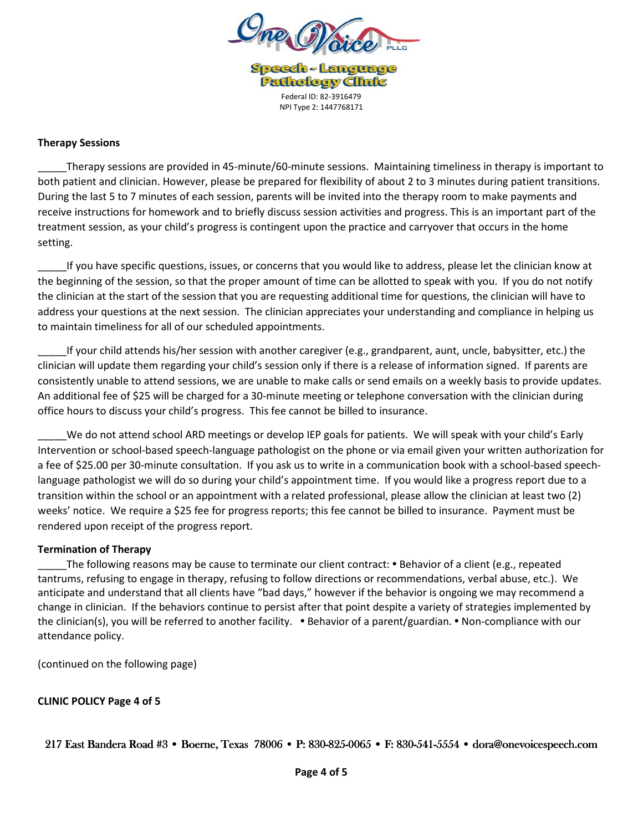

**Speech-Language Pathology Clinic** Federal ID: 82-3916479 NPI Type 2: 1447768171

#### **Therapy Sessions**

\_\_\_\_\_Therapy sessions are provided in 45-minute/60-minute sessions. Maintaining timeliness in therapy is important to both patient and clinician. However, please be prepared for flexibility of about 2 to 3 minutes during patient transitions. During the last 5 to 7 minutes of each session, parents will be invited into the therapy room to make payments and receive instructions for homework and to briefly discuss session activities and progress. This is an important part of the treatment session, as your child's progress is contingent upon the practice and carryover that occurs in the home setting.

\_\_\_\_\_If you have specific questions, issues, or concerns that you would like to address, please let the clinician know at the beginning of the session, so that the proper amount of time can be allotted to speak with you. If you do not notify the clinician at the start of the session that you are requesting additional time for questions, the clinician will have to address your questions at the next session. The clinician appreciates your understanding and compliance in helping us to maintain timeliness for all of our scheduled appointments.

\_\_\_\_\_If your child attends his/her session with another caregiver (e.g., grandparent, aunt, uncle, babysitter, etc.) the clinician will update them regarding your child's session only if there is a release of information signed. If parents are consistently unable to attend sessions, we are unable to make calls or send emails on a weekly basis to provide updates. An additional fee of \$25 will be charged for a 30-minute meeting or telephone conversation with the clinician during office hours to discuss your child's progress. This fee cannot be billed to insurance.

We do not attend school ARD meetings or develop IEP goals for patients. We will speak with your child's Early Intervention or school-based speech-language pathologist on the phone or via email given your written authorization for a fee of \$25.00 per 30-minute consultation. If you ask us to write in a communication book with a school-based speechlanguage pathologist we will do so during your child's appointment time. If you would like a progress report due to a transition within the school or an appointment with a related professional, please allow the clinician at least two (2) weeks' notice. We require a \$25 fee for progress reports; this fee cannot be billed to insurance. Payment must be rendered upon receipt of the progress report.

#### **Termination of Therapy**

The following reasons may be cause to terminate our client contract: • Behavior of a client (e.g., repeated tantrums, refusing to engage in therapy, refusing to follow directions or recommendations, verbal abuse, etc.). We anticipate and understand that all clients have "bad days," however if the behavior is ongoing we may recommend a change in clinician. If the behaviors continue to persist after that point despite a variety of strategies implemented by the clinician(s), you will be referred to another facility. • Behavior of a parent/guardian. • Non-compliance with our attendance policy.

(continued on the following page)

**CLINIC POLICY Page 4 of 5**